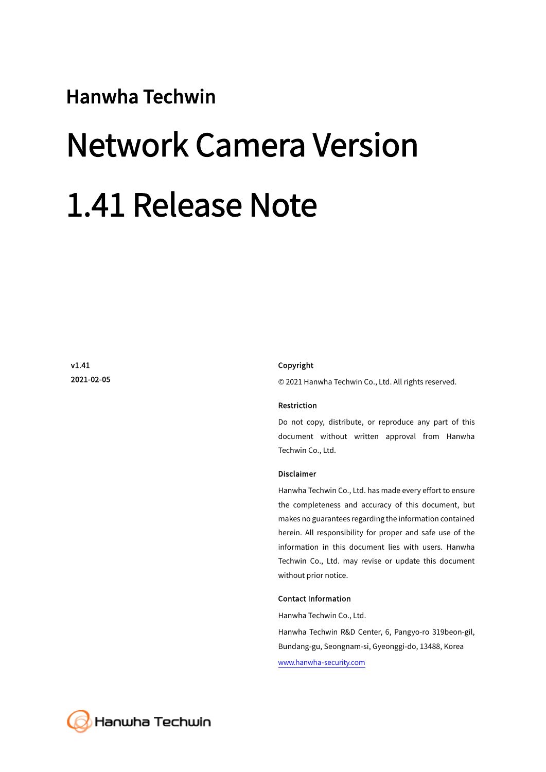#### Hanwha Techwin

# Network Camera Version 1.41 Release Note

v1.41 2021-02-05

#### Copyright

© 2021 Hanwha Techwin Co., Ltd. All rights reserved.

#### Restriction

Do not copy, distribute, or reproduce any part of this document without written approval from Hanwha Techwin Co., Ltd.

#### Disclaimer

Hanwha Techwin Co., Ltd. has made every effort to ensure the completeness and accuracy of this document, but makes no guarantees regarding the information contained herein. All responsibility for proper and safe use of the information in this document lies with users. Hanwha Techwin Co., Ltd. may revise or update this document without prior notice.

#### Contact Information

Hanwha Techwin Co., Ltd.

Hanwha Techwin R&D Center, 6, Pangyo-ro 319beon-gil, Bundang-gu, Seongnam-si, Gyeonggi-do, 13488, Korea www.hanwha-security.com

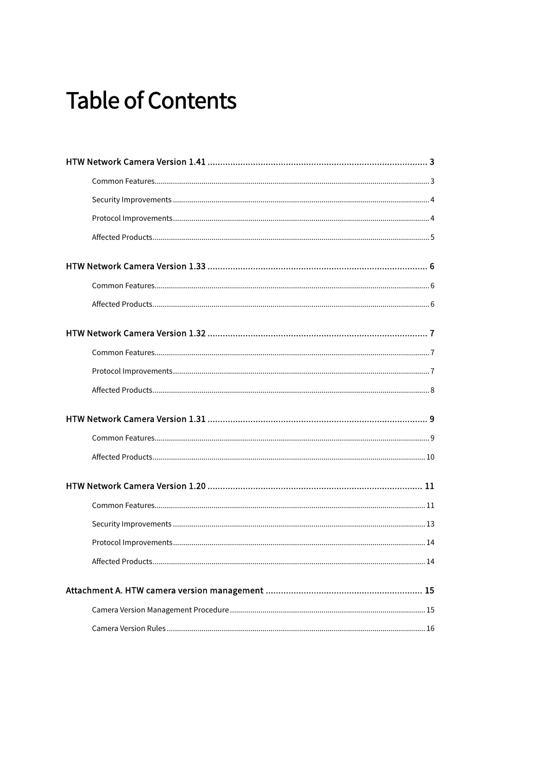## **Table of Contents**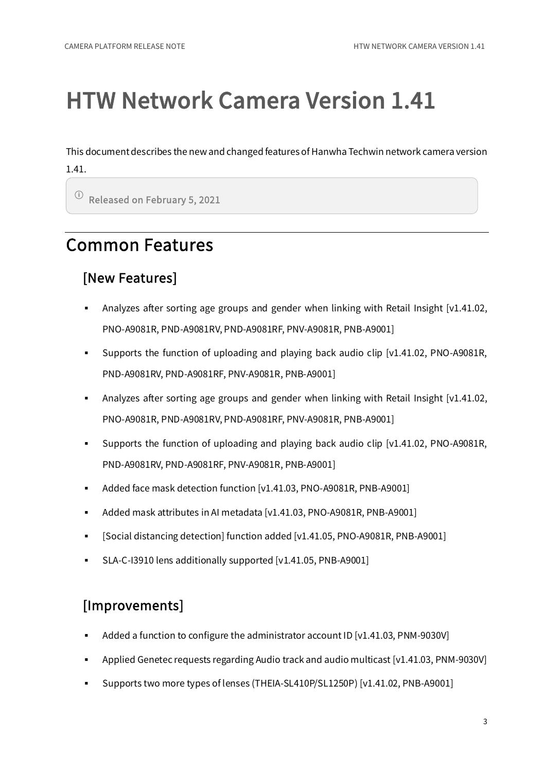This document describes the new and changed features of Hanwha Techwin network camera version 1.41.

ⓘ Released on February 5, 2021

### Common Features

#### [New Features]

- Analyzes after sorting age groups and gender when linking with Retail Insight  $[v1.41.02]$ , PNO-A9081R, PND-A9081RV, PND-A9081RF, PNV-A9081R, PNB-A9001]
- Supports the function of uploading and playing back audio clip [v1.41.02, PNO-A9081R, PND-A9081RV, PND-A9081RF, PNV-A9081R, PNB-A9001]
- Analyzes after sorting age groups and gender when linking with Retail Insight [v1.41.02, PNO-A9081R, PND-A9081RV, PND-A9081RF, PNV-A9081R, PNB-A9001]
- Supports the function of uploading and playing back audio clip [v1.41.02, PNO-A9081R, PND-A9081RV, PND-A9081RF, PNV-A9081R, PNB-A9001]
- Added face mask detection function [v1.41.03, PNO-A9081R, PNB-A9001]
- Added mask attributes in AI metadata [v1.41.03, PNO-A9081R, PNB-A9001]
- [Social distancing detection] function added [v1.41.05, PNO-A9081R, PNB-A9001]
- SLA-C-I3910 lens additionally supported [v1.41.05, PNB-A9001]

#### [Improvements]

- Added a function to configure the administrator account ID [v1.41.03, PNM-9030V]
- Applied Genetec requests regarding Audio track and audio multicast [v1.41.03, PNM-9030V]
- Supports two more types of lenses (THEIA-SL410P/SL1250P) [v1.41.02, PNB-A9001]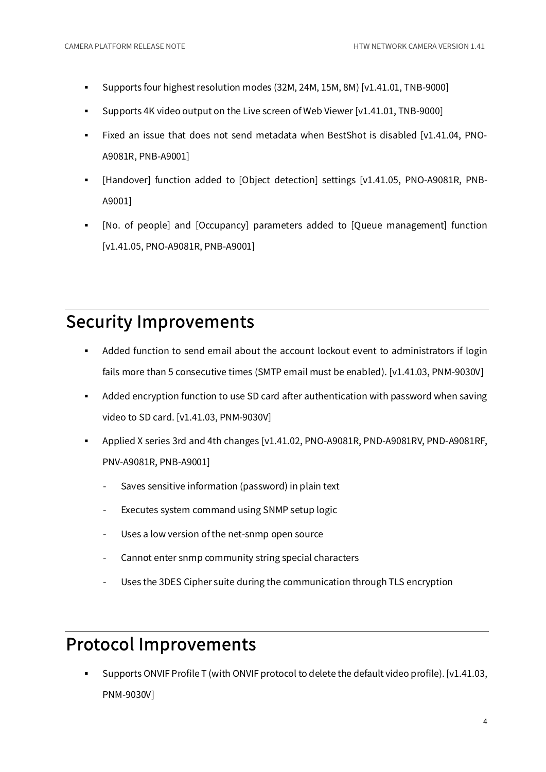- Supports four highest resolution modes (32M, 24M, 15M, 8M) [v1.41.01, TNB-9000]
- Supports 4K video output on the Live screen of Web Viewer [v1.41.01, TNB-9000]
- Fixed an issue that does not send metadata when BestShot is disabled [v1.41.04, PNO-A9081R, PNB-A9001]
- [Handover] function added to [Object detection] settings [v1.41.05, PNO-A9081R, PNB-A9001]
- [No. of people] and [Occupancy] parameters added to [Queue management] function [v1.41.05, PNO-A9081R, PNB-A9001]

#### Security Improvements

- Added function to send email about the account lockout event to administrators if login fails more than 5 consecutive times (SMTP email must be enabled). [v1.41.03, PNM-9030V]
- Added encryption function to use SD card after authentication with password when saving video to SD card. [v1.41.03, PNM-9030V]
- Applied X series 3rd and 4th changes [v1.41.02, PNO-A9081R, PND-A9081RV, PND-A9081RF, PNV-A9081R, PNB-A9001]
	- Saves sensitive information (password) in plain text
	- Executes system command using SNMP setup logic
	- Uses a low version of the net-snmp open source
	- Cannot enter snmp community string special characters
	- Uses the 3DES Cipher suite during the communication through TLS encryption

#### Protocol Improvements

 Supports ONVIF Profile T (with ONVIF protocol to delete the default video profile). [v1.41.03, PNM-9030V]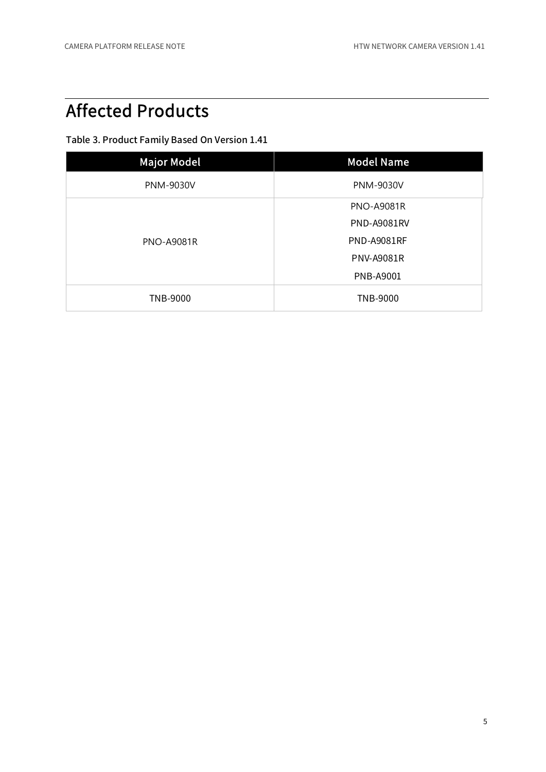### Affected Products

| <b>Major Model</b> | <b>Model Name</b>  |
|--------------------|--------------------|
| <b>PNM-9030V</b>   | <b>PNM-9030V</b>   |
| <b>PNO-A9081R</b>  | <b>PNO-A9081R</b>  |
|                    | <b>PND-A9081RV</b> |
|                    | <b>PND-A9081RF</b> |
|                    | <b>PNV-A9081R</b>  |
|                    | <b>PNB-A9001</b>   |
| <b>TNB-9000</b>    | <b>TNB-9000</b>    |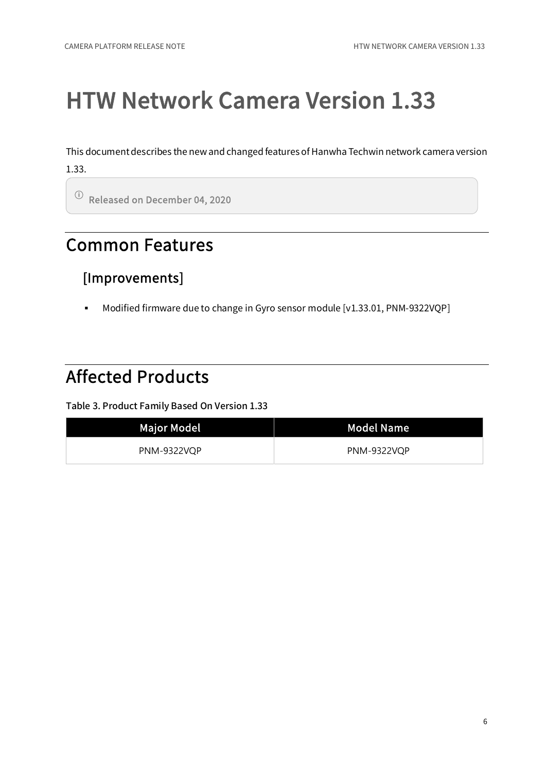This document describes the new and changed features of Hanwha Techwin network camera version 1.33.

ⓘ Released on December 04, 2020

#### Common Features

#### [Improvements]

Modified firmware due to change in Gyro sensor module [v1.33.01, PNM-9322VQP]

### Affected Products

| <b>Major Model</b> | <b>Model Name</b>  |
|--------------------|--------------------|
| <b>PNM-9322VQP</b> | <b>PNM-9322VQP</b> |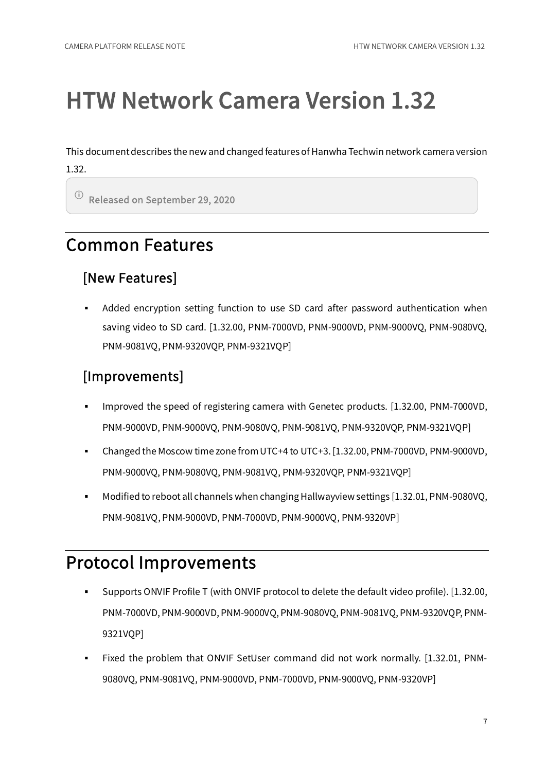This document describes the new and changed features of Hanwha Techwin network camera version 1.32.

ⓘ Released on September 29, 2020

#### Common Features

#### [New Features]

 Added encryption setting function to use SD card after password authentication when saving video to SD card. [1.32.00, PNM-7000VD, PNM-9000VD, PNM-9000VQ, PNM-9080VQ, PNM-9081VQ, PNM-9320VQP, PNM-9321VQP]

#### [Improvements]

- Improved the speed of registering camera with Genetec products. [1.32.00, PNM-7000VD, PNM-9000VD, PNM-9000VQ, PNM-9080VQ, PNM-9081VQ, PNM-9320VQP, PNM-9321VQP]
- Changed the Moscow time zone from UTC+4 to UTC+3. [1.32.00, PNM-7000VD, PNM-9000VD, PNM-9000VQ, PNM-9080VQ, PNM-9081VQ, PNM-9320VQP, PNM-9321VQP]
- Modified to reboot all channels when changing Hallwayview settings [1.32.01, PNM-9080VQ, PNM-9081VQ, PNM-9000VD, PNM-7000VD, PNM-9000VQ, PNM-9320VP]

#### Protocol Improvements

- Supports ONVIF Profile T (with ONVIF protocol to delete the default video profile). [1.32.00, PNM-7000VD, PNM-9000VD, PNM-9000VQ, PNM-9080VQ, PNM-9081VQ, PNM-9320VQP, PNM-9321VOP]
- Fixed the problem that ONVIF SetUser command did not work normally. [1.32.01, PNM-9080VQ, PNM-9081VQ, PNM-9000VD, PNM-7000VD, PNM-9000VQ, PNM-9320VP]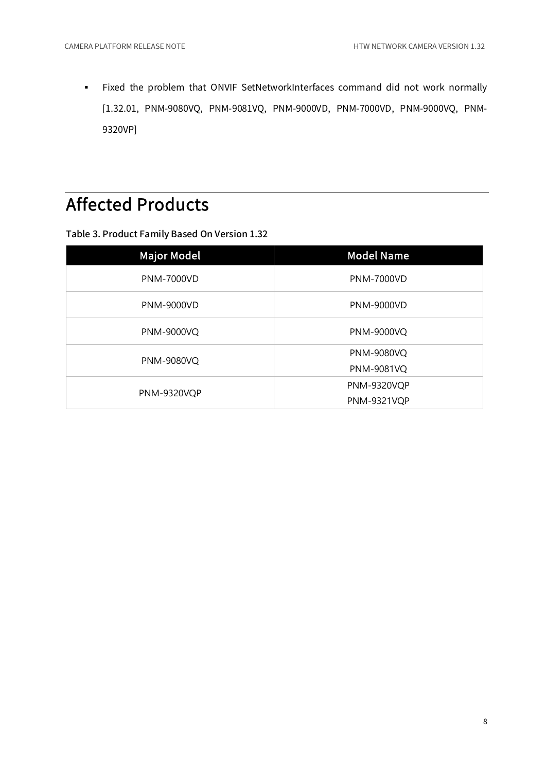Fixed the problem that ONVIF SetNetworkInterfaces command did not work normally [1.32.01, PNM-9080VQ, PNM-9081VQ, PNM-9000VD, PNM-7000VD, PNM-9000VQ, PNM-9320VP]

### Affected Products

| <b>Major Model</b> | <b>Model Name</b>  |
|--------------------|--------------------|
| <b>PNM-7000VD</b>  | <b>PNM-7000VD</b>  |
| <b>PNM-9000VD</b>  | <b>PNM-9000VD</b>  |
| PNM-9000VQ         | <b>PNM-9000VQ</b>  |
| <b>PNM-9080VQ</b>  | <b>PNM-9080VQ</b>  |
|                    | <b>PNM-9081VQ</b>  |
| <b>PNM-9320VQP</b> | <b>PNM-9320VQP</b> |
|                    | <b>PNM-9321VQP</b> |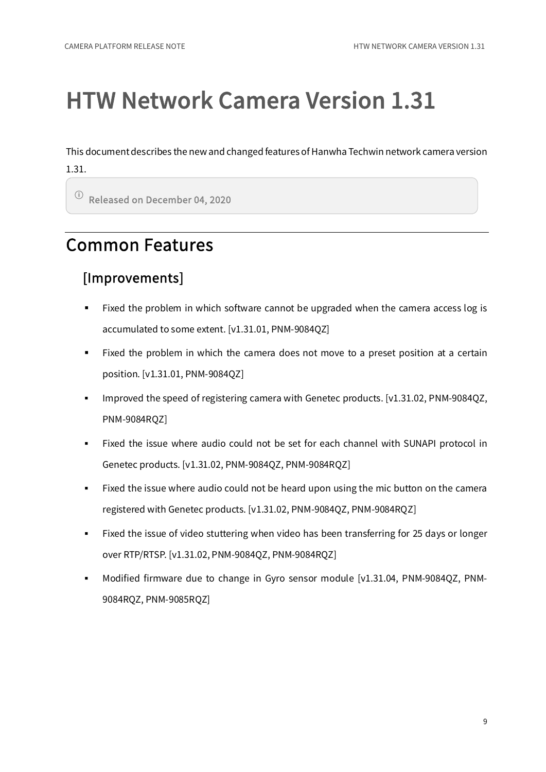This document describes the new and changed features of Hanwha Techwin network camera version 1.31.

ⓘ Released on December 04, 2020

### Common Features

#### [Improvements]

- Fixed the problem in which software cannot be upgraded when the camera access log is accumulated to some extent. [v1.31.01, PNM-9084QZ]
- Fixed the problem in which the camera does not move to a preset position at a certain position. [v1.31.01, PNM-9084QZ]
- Improved the speed of registering camera with Genetec products.  $[v1.31.02, PNM-9084OZ$ , PNM-9084RQZ]
- Fixed the issue where audio could not be set for each channel with SUNAPI protocol in Genetec products. [v1.31.02, PNM-9084QZ, PNM-9084RQZ]
- Fixed the issue where audio could not be heard upon using the mic button on the camera registered with Genetec products. [v1.31.02, PNM-9084QZ, PNM-9084RQZ]
- Fixed the issue of video stuttering when video has been transferring for 25 days or longer over RTP/RTSP. [v1.31.02, PNM-9084QZ, PNM-9084RQZ]
- Modified firmware due to change in Gyro sensor module [v1.31.04, PNM-9084QZ, PNM-9084RQZ, PNM-9085RQZ]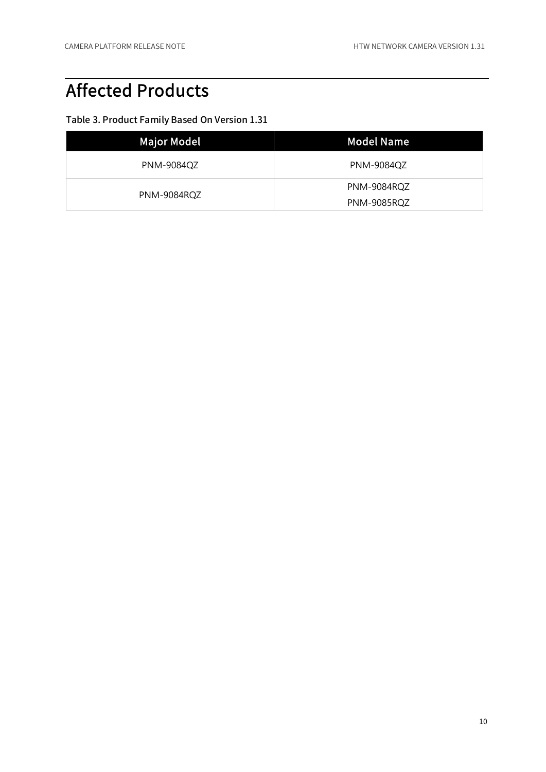### Affected Products

| <b>Major Model</b> | Model Name         |
|--------------------|--------------------|
| PNM-9084QZ         | <b>PNM-9084QZ</b>  |
| PNM-9084RQZ        | PNM-9084RQZ        |
|                    | <b>PNM-9085RQZ</b> |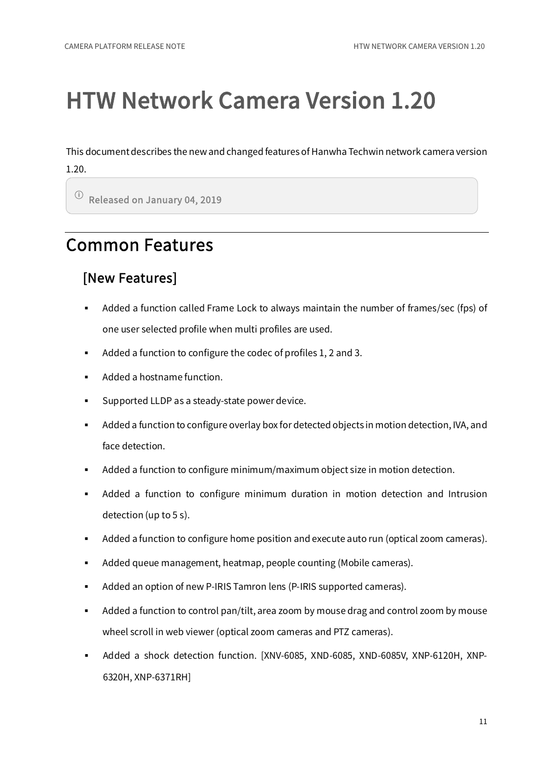This document describes the new and changed features of Hanwha Techwin network camera version 1.20.

ⓘ Released on January 04, 2019

### Common Features

#### [New Features]

- Added a function called Frame Lock to always maintain the number of frames/sec (fps) of one user selected profile when multi profiles are used.
- Added a function to configure the codec of profiles 1, 2 and 3.
- Added a hostname function.
- **Supported LLDP** as a steady-state power device.
- Added a function to configure overlay box for detected objects in motion detection, IVA, and face detection.
- Added a function to configure minimum/maximum object size in motion detection.
- Added a function to configure minimum duration in motion detection and Intrusion detection (up to 5 s).
- Added a function to configure home position and execute auto run (optical zoom cameras).
- Added queue management, heatmap, people counting (Mobile cameras).
- Added an option of new P-IRIS Tamron lens (P-IRIS supported cameras).
- Added a function to control pan/tilt, area zoom by mouse drag and control zoom by mouse wheel scroll in web viewer (optical zoom cameras and PTZ cameras).
- Added a shock detection function. [XNV-6085, XND-6085, XND-6085V, XNP-6120H, XNP-6320H, XNP-6371RH]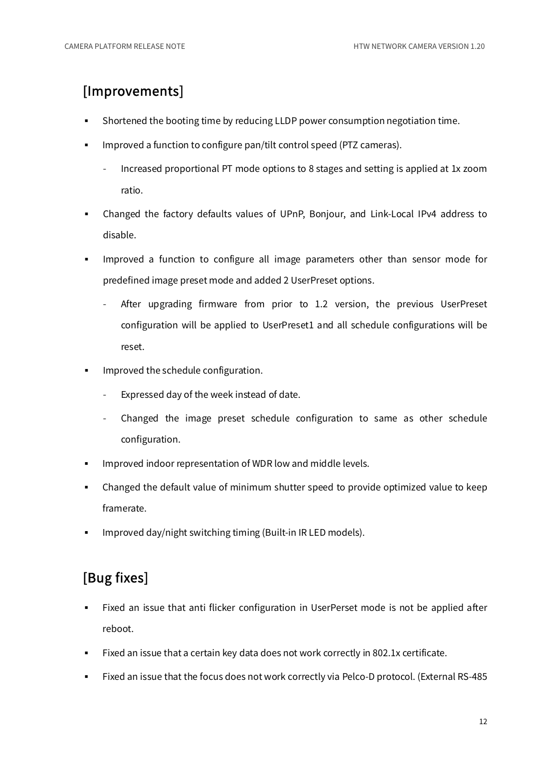#### [Improvements]

- Shortened the booting time by reducing LLDP power consumption negotiation time.
- **IMPROVED A** function to configure pan/tilt control speed (PTZ cameras).
	- Increased proportional PT mode options to 8 stages and setting is applied at 1x zoom ratio.
- Changed the factory defaults values of UPnP, Bonjour, and Link-Local IPv4 address to disable.
- Improved a function to configure all image parameters other than sensor mode for predefined image preset mode and added 2 UserPreset options.
	- After upgrading firmware from prior to 1.2 version, the previous UserPreset configuration will be applied to UserPreset1 and all schedule configurations will be reset.
- Improved the schedule configuration.
	- Expressed day of the week instead of date.
	- Changed the image preset schedule configuration to same as other schedule configuration.
- Improved indoor representation of WDR low and middle levels.
- Changed the default value of minimum shutter speed to provide optimized value to keep framerate.
- Improved day/night switching timing (Built-in IR LED models).

#### [Bug fixes]

- Fixed an issue that anti flicker configuration in UserPerset mode is not be applied after reboot.
- Fixed an issue that a certain key data does not work correctly in 802.1x certificate.
- Fixed an issue that the focus does not work correctly via Pelco-D protocol. (External RS-485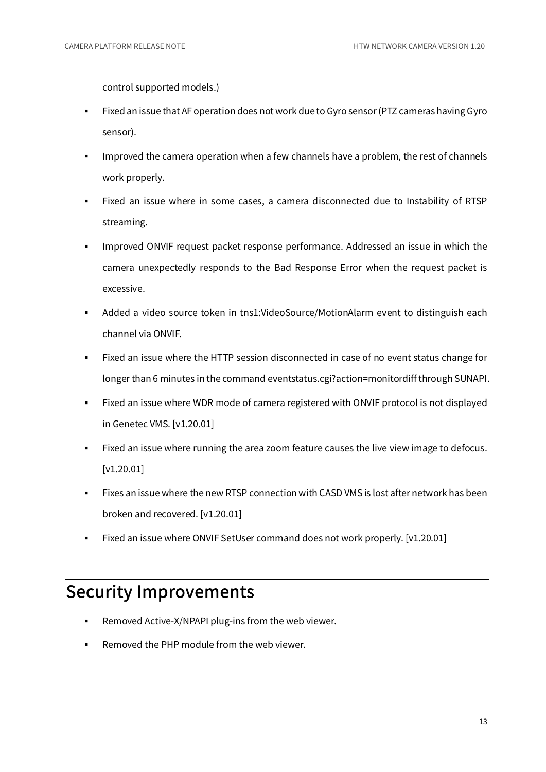control supported models.)

- Fixed an issue that AF operation does not work due to Gyro sensor (PTZ cameras having Gyro sensor).
- Improved the camera operation when a few channels have a problem, the rest of channels work properly.
- Fixed an issue where in some cases, a camera disconnected due to Instability of RTSP streaming.
- Improved ONVIF request packet response performance. Addressed an issue in which the camera unexpectedly responds to the Bad Response Error when the request packet is excessive.
- Added a video source token in tns1:VideoSource/MotionAlarm event to distinguish each channel via ONVIF.
- Fixed an issue where the HTTP session disconnected in case of no event status change for longer than 6 minutes in the command eventstatus.cgi?action=monitordiff through SUNAPI.
- Fixed an issue where WDR mode of camera registered with ONVIF protocol is not displayed in Genetec VMS. [v1.20.01]
- Fixed an issue where running the area zoom feature causes the live view image to defocus. [v1.20.01]
- Fixes an issue where the new RTSP connection with CASD VMS is lost after network has been broken and recovered. [v1.20.01]
- Fixed an issue where ONVIF SetUser command does not work properly. [v1.20.01]

#### Security Improvements

- Removed Active-X/NPAPI plug-ins from the web viewer.
- Removed the PHP module from the web viewer.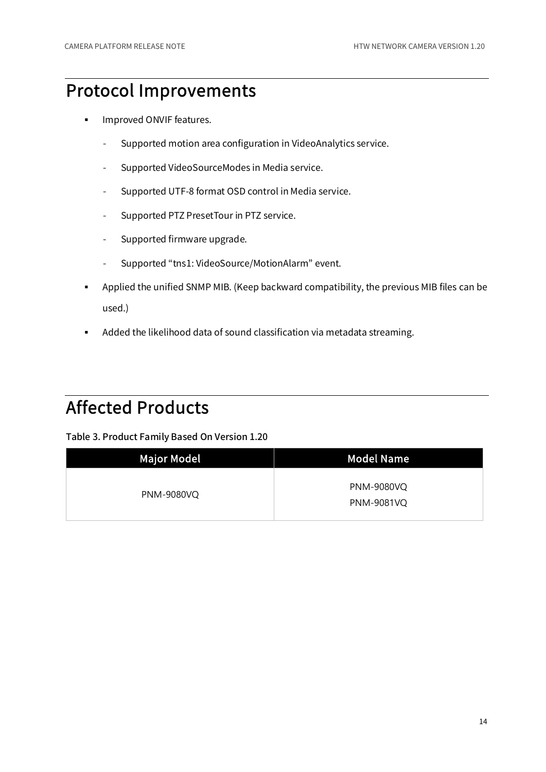#### Protocol Improvements

- **Improved ONVIF features.** 
	- Supported motion area configuration in VideoAnalytics service.
	- Supported VideoSourceModes in Media service.
	- Supported UTF-8 format OSD control in Media service.
	- Supported PTZ PresetTour in PTZ service.
	- Supported firmware upgrade.
	- Supported "tns1: VideoSource/MotionAlarm" event.
- Applied the unified SNMP MIB. (Keep backward compatibility, the previous MIB files can be used.)
- Added the likelihood data of sound classification via metadata streaming.

### Affected Products

| <b>Major Model</b> | <b>Model Name</b>                      |
|--------------------|----------------------------------------|
| <b>PNM-9080VQ</b>  | <b>PNM-9080VQ</b><br><b>PNM-9081VQ</b> |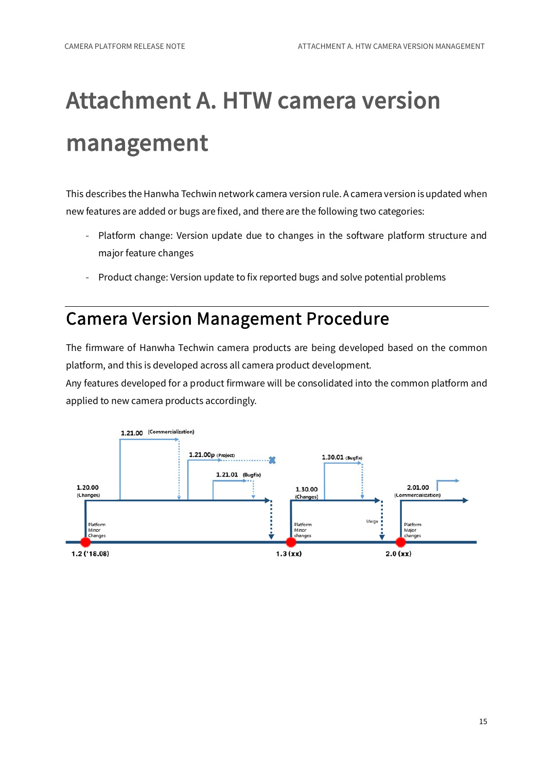## Attachment A. HTW camera version management

This describes the Hanwha Techwin network camera version rule. A camera version is updated when new features are added or bugs are fixed, and there are the following two categories:

- Platform change: Version update due to changes in the software platform structure and major feature changes
- Product change: Version update to fix reported bugs and solve potential problems

#### Camera Version Management Procedure

The firmware of Hanwha Techwin camera products are being developed based on the common platform, and this is developed across all camera product development.

Any features developed for a product firmware will be consolidated into the common platform and applied to new camera products accordingly.